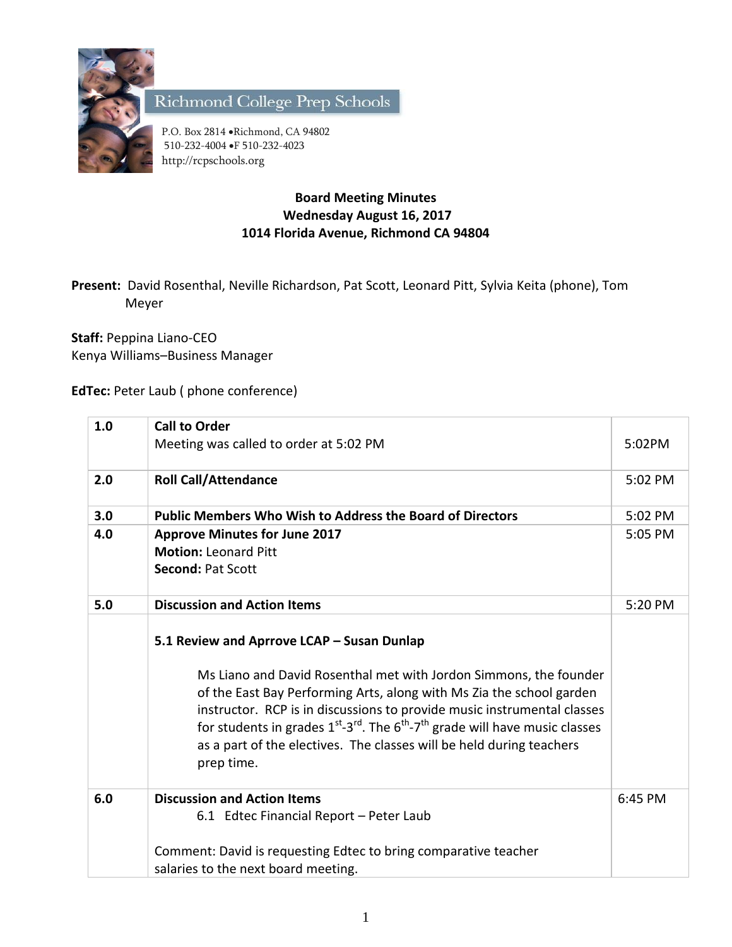

Richmond College Prep Schools

P.O. Box 2814 . Richmond, CA 94802 510-232-4004 F 510-232-4023 http://rcpschools.org

## **Board Meeting Minutes Wednesday August 16, 2017 1014 Florida Avenue, Richmond CA 94804**

**Present:** David Rosenthal, Neville Richardson, Pat Scott, Leonard Pitt, Sylvia Keita (phone), Tom Meyer

**Staff:** Peppina Liano-CEO Kenya Williams–Business Manager

**EdTec:** Peter Laub ( phone conference)

| 1.0 | <b>Call to Order</b>                                                                                           |         |
|-----|----------------------------------------------------------------------------------------------------------------|---------|
|     | Meeting was called to order at 5:02 PM                                                                         | 5:02PM  |
| 2.0 | <b>Roll Call/Attendance</b>                                                                                    | 5:02 PM |
| 3.0 | <b>Public Members Who Wish to Address the Board of Directors</b>                                               | 5:02 PM |
| 4.0 | <b>Approve Minutes for June 2017</b>                                                                           | 5:05 PM |
|     | <b>Motion: Leonard Pitt</b>                                                                                    |         |
|     | <b>Second: Pat Scott</b>                                                                                       |         |
| 5.0 | <b>Discussion and Action Items</b>                                                                             | 5:20 PM |
|     |                                                                                                                |         |
|     | 5.1 Review and Aprrove LCAP - Susan Dunlap                                                                     |         |
|     | Ms Liano and David Rosenthal met with Jordon Simmons, the founder                                              |         |
|     | of the East Bay Performing Arts, along with Ms Zia the school garden                                           |         |
|     | instructor. RCP is in discussions to provide music instrumental classes                                        |         |
|     | for students in grades $1^{st}$ -3 <sup>rd</sup> . The $6^{th}$ -7 <sup>th</sup> grade will have music classes |         |
|     | as a part of the electives. The classes will be held during teachers                                           |         |
|     | prep time.                                                                                                     |         |
| 6.0 | <b>Discussion and Action Items</b>                                                                             | 6:45 PM |
|     | 6.1 Edtec Financial Report - Peter Laub                                                                        |         |
|     |                                                                                                                |         |
|     | Comment: David is requesting Edtec to bring comparative teacher                                                |         |
|     | salaries to the next board meeting.                                                                            |         |